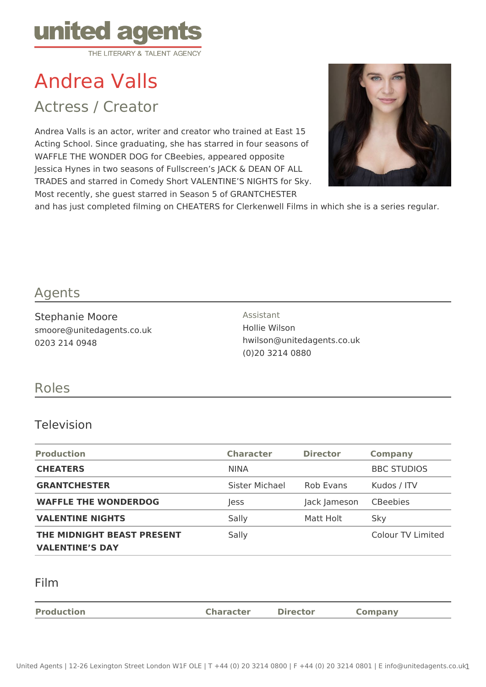

# Andrea Valls

Actress / Creator

Andrea Valls is an actor, writer and creator who trained at East 15 Acting School. Since graduating, she has starred in four seasons of WAFFLE THE WONDER DOG for CBeebies, appeared opposite Jessica Hynes in two seasons of Fullscreen's JACK & DEAN OF ALL TRADES and starred in Comedy Short VALENTINE'S NIGHTS for Sky. Most recently, she guest starred in Season 5 of GRANTCHESTER



and has just completed filming on CHEATERS for Clerkenwell Films in which she is a series regular.

## Agents

Stephanie Moore smoore@unitedagents.co.uk 0203 214 0948

Assistant Hollie Wilson hwilson@unitedagents.co.uk (0)20 3214 0880

### Roles

#### Television

| <b>Production</b>                                    | <b>Character</b> | <b>Director</b> | <b>Company</b>     |
|------------------------------------------------------|------------------|-----------------|--------------------|
| <b>CHEATERS</b>                                      | <b>NINA</b>      |                 | <b>BBC STUDIOS</b> |
| <b>GRANTCHESTER</b>                                  | Sister Michael   | Rob Evans       | Kudos / ITV        |
| <b>WAFFLE THE WONDERDOG</b>                          | Jess             | Jack Jameson    | <b>CBeebies</b>    |
| <b>VALENTINE NIGHTS</b>                              | Sally            | Matt Holt       | Sky                |
| THE MIDNIGHT BEAST PRESENT<br><b>VALENTINE'S DAY</b> | Sally            |                 | Colour TV Limited  |

#### Film

| <b>Production</b> | <b>Character</b> | <b>Director</b> | company |
|-------------------|------------------|-----------------|---------|
|                   |                  |                 |         |